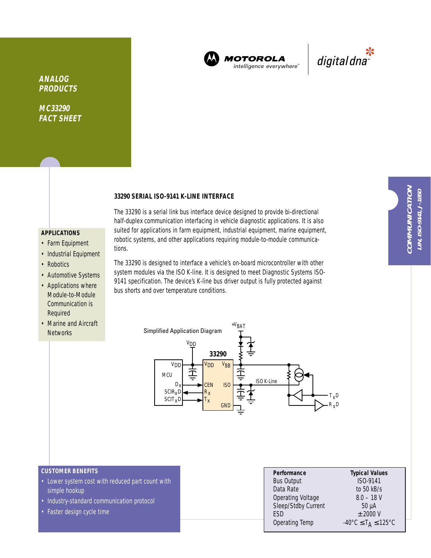

**MOTOROLA** intelligence everywhere<sup>®</sup>



**ANALOG PRODUCTS**

**MC33290 FACT SHEET**

### **33290 SERIAL ISO-9141 K-LINE INTERFACE**

# **APPLICATIONS**

- Farm Equipment
- Industrial Equipment
- Robotics
- Automotive Systems
- Applications where Module-to-Module Communication is Required
- Marine and Aircraft **Networks**

The 33290 is a serial link bus interface device designed to provide bi-directional half-duplex communication interfacing in vehicle diagnostic applications. It is also suited for applications in farm equipment, industrial equipment, marine equipment, robotic systems, and other applications requiring module-to-module communications.

The 33290 is designed to interface a vehicle's on-board microcontroller with other system modules via the ISO K-line. It is designed to meet Diagnostic Systems ISO-9141 specification. The device's K-line bus driver output is fully protected against bus shorts and over temperature conditions.



#### **CUSTOMER BENEFITS**

- Lower system cost with reduced part count with simple hookup
- Industry-standard communication protocol
- Faster design cycle time

| Performance         | <b>Typical Values</b>                                         |  |  |  |
|---------------------|---------------------------------------------------------------|--|--|--|
| <b>Bus Output</b>   | ISO-9141                                                      |  |  |  |
| Data Rate           | to $50$ kB/s                                                  |  |  |  |
| Operating Voltage   | $8.0 - 18$ V                                                  |  |  |  |
| Sleep/Stdby Current | $50 \mu A$                                                    |  |  |  |
| <b>FSD</b>          | $±$ 2000 V                                                    |  |  |  |
| Operating Temp      | $-40^{\circ}$ C $\leq$ T <sub>A</sub> $\leq$ 125 $^{\circ}$ C |  |  |  |
|                     |                                                               |  |  |  |